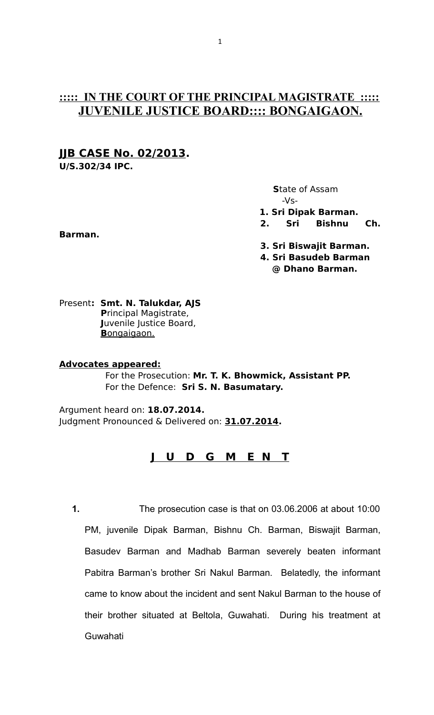# **::::: IN THE COURT OF THE PRINCIPAL MAGISTRATE ::::: JUVENILE JUSTICE BOARD:::: BONGAIGAON.**

# **JJB CASE No. 02/2013.**

**U/S.302/34 IPC.**

 **S**tate of Assam -Vs- **1. Sri Dipak Barman.**

- **2. Sri Bishnu Ch.**
- **3. Sri Biswajit Barman.**
- **4. Sri Basudeb Barman @ Dhano Barman.**

Present**: Smt. N. Talukdar, AJS P**rincipal Magistrate,  **J**uvenile Justice Board,  **B** ongaigaon.

# **Advocates appeared:**

 For the Prosecution: **Mr. T. K. Bhowmick, Assistant PP.** For the Defence: **Sri S. N. Basumatary.**

Argument heard on: **18.07.2014.** Judgment Pronounced & Delivered on: **31.07.2014.**

# **J U D G M E N T**

**1.** The prosecution case is that on 03.06.2006 at about 10:00 PM, juvenile Dipak Barman, Bishnu Ch. Barman, Biswajit Barman, Basudev Barman and Madhab Barman severely beaten informant Pabitra Barman's brother Sri Nakul Barman. Belatedly, the informant came to know about the incident and sent Nakul Barman to the house of their brother situated at Beltola, Guwahati. During his treatment at Guwahati

# **Barman.**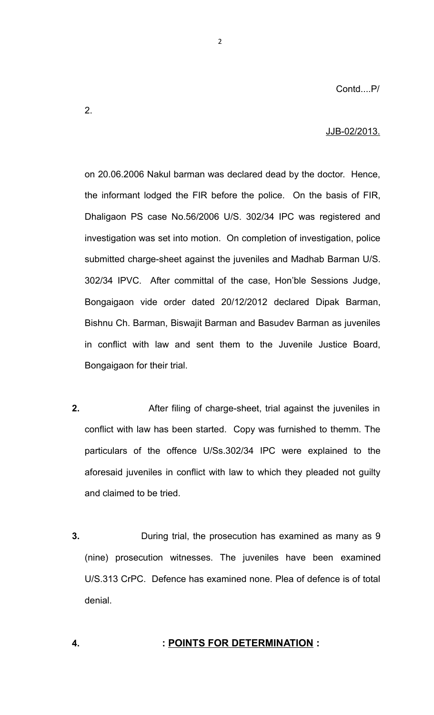### JJB-02/2013.

on 20.06.2006 Nakul barman was declared dead by the doctor. Hence, the informant lodged the FIR before the police. On the basis of FIR, Dhaligaon PS case No.56/2006 U/S. 302/34 IPC was registered and investigation was set into motion. On completion of investigation, police submitted charge-sheet against the juveniles and Madhab Barman U/S. 302/34 IPVC. After committal of the case, Hon'ble Sessions Judge, Bongaigaon vide order dated 20/12/2012 declared Dipak Barman, Bishnu Ch. Barman, Biswajit Barman and Basudev Barman as juveniles in conflict with law and sent them to the Juvenile Justice Board, Bongaigaon for their trial.

2

- **2.** After filing of charge-sheet, trial against the juveniles in conflict with law has been started. Copy was furnished to themm. The particulars of the offence U/Ss.302/34 IPC were explained to the aforesaid juveniles in conflict with law to which they pleaded not guilty and claimed to be tried.
- **3.** During trial, the prosecution has examined as many as 9 (nine) prosecution witnesses. The juveniles have been examined U/S.313 CrPC. Defence has examined none. Plea of defence is of total denial.

# **4. : POINTS FOR DETERMINATION :**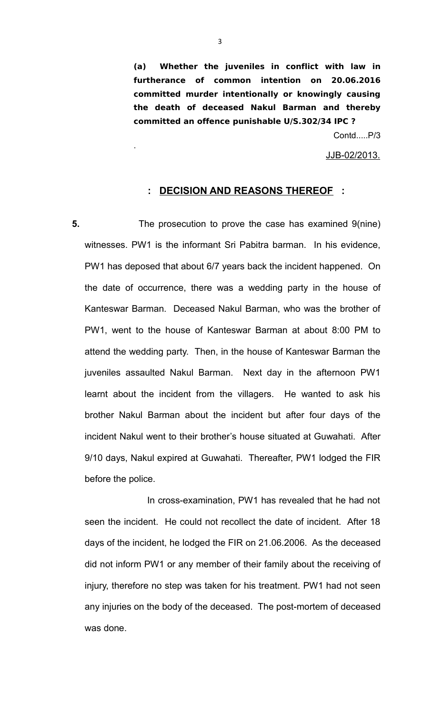**(a) Whether the juveniles in conflict with law in furtherance of common intention on 20.06.2016 committed murder intentionally or knowingly causing the death of deceased Nakul Barman and thereby committed an offence punishable U/S.302/34 IPC ?** 

Contd.....P/3

JJB-02/2013.

# **: DECISION AND REASONS THEREOF :**

**5.** The prosecution to prove the case has examined 9(nine) witnesses. PW1 is the informant Sri Pabitra barman. In his evidence, PW1 has deposed that about 6/7 years back the incident happened. On the date of occurrence, there was a wedding party in the house of Kanteswar Barman. Deceased Nakul Barman, who was the brother of PW1, went to the house of Kanteswar Barman at about 8:00 PM to attend the wedding party. Then, in the house of Kanteswar Barman the juveniles assaulted Nakul Barman. Next day in the afternoon PW1 learnt about the incident from the villagers. He wanted to ask his brother Nakul Barman about the incident but after four days of the incident Nakul went to their brother's house situated at Guwahati. After 9/10 days, Nakul expired at Guwahati. Thereafter, PW1 lodged the FIR before the police.

 In cross-examination, PW1 has revealed that he had not seen the incident. He could not recollect the date of incident. After 18 days of the incident, he lodged the FIR on 21.06.2006. As the deceased did not inform PW1 or any member of their family about the receiving of injury, therefore no step was taken for his treatment. PW1 had not seen any injuries on the body of the deceased. The post-mortem of deceased was done.

.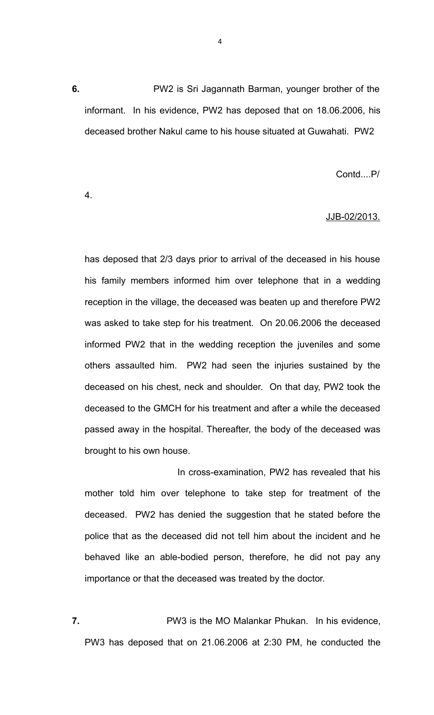**6.** PW2 is Sri Jagannath Barman, younger brother of the informant. In his evidence, PW2 has deposed that on 18.06.2006, his deceased brother Nakul came to his house situated at Guwahati. PW2

Contd....P/

4.

# JJB-02/2013.

has deposed that 2/3 days prior to arrival of the deceased in his house his family members informed him over telephone that in a wedding reception in the village, the deceased was beaten up and therefore PW2 was asked to take step for his treatment. On 20.06.2006 the deceased informed PW2 that in the wedding reception the juveniles and some others assaulted him. PW2 had seen the injuries sustained by the deceased on his chest, neck and shoulder. On that day, PW2 took the deceased to the GMCH for his treatment and after a while the deceased passed away in the hospital. Thereafter, the body of the deceased was brought to his own house.

 In cross-examination, PW2 has revealed that his mother told him over telephone to take step for treatment of the deceased. PW2 has denied the suggestion that he stated before the police that as the deceased did not tell him about the incident and he behaved like an able-bodied person, therefore, he did not pay any importance or that the deceased was treated by the doctor.

**7.** PW3 is the MO Malankar Phukan. In his evidence, PW3 has deposed that on 21.06.2006 at 2:30 PM, he conducted the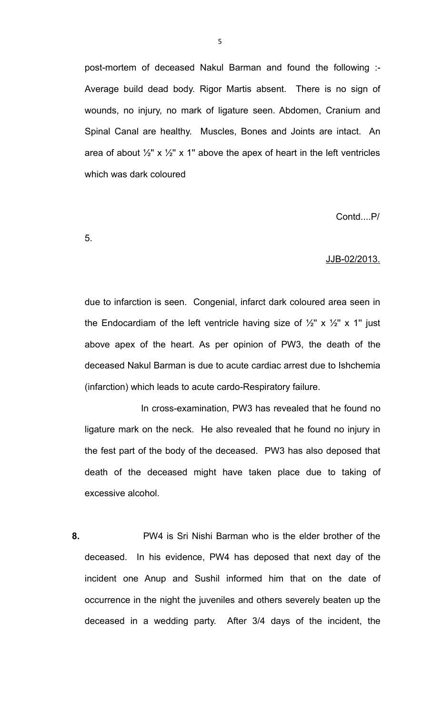post-mortem of deceased Nakul Barman and found the following :- Average build dead body. Rigor Martis absent. There is no sign of wounds, no injury, no mark of ligature seen. Abdomen, Cranium and Spinal Canal are healthy. Muscles, Bones and Joints are intact. An area of about  $\frac{1}{2}$ " x  $\frac{1}{2}$ " x 1" above the apex of heart in the left ventricles which was dark coloured

Contd....P/

5.

### JJB-02/2013.

due to infarction is seen. Congenial, infarct dark coloured area seen in the Endocardiam of the left ventricle having size of  $\frac{1}{2}$ " x  $\frac{1}{2}$ " x 1" just above apex of the heart. As per opinion of PW3, the death of the deceased Nakul Barman is due to acute cardiac arrest due to Ishchemia (infarction) which leads to acute cardo-Respiratory failure.

 In cross-examination, PW3 has revealed that he found no ligature mark on the neck. He also revealed that he found no injury in the fest part of the body of the deceased. PW3 has also deposed that death of the deceased might have taken place due to taking of excessive alcohol.

**8.** PW4 is Sri Nishi Barman who is the elder brother of the deceased. In his evidence, PW4 has deposed that next day of the incident one Anup and Sushil informed him that on the date of occurrence in the night the juveniles and others severely beaten up the deceased in a wedding party. After 3/4 days of the incident, the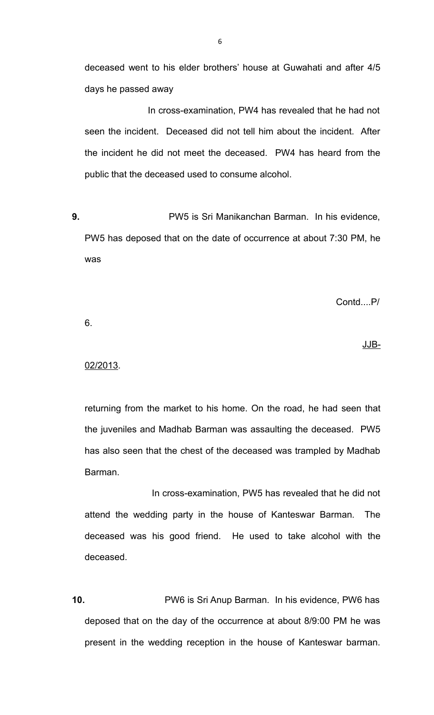deceased went to his elder brothers' house at Guwahati and after 4/5 days he passed away

 In cross-examination, PW4 has revealed that he had not seen the incident. Deceased did not tell him about the incident. After the incident he did not meet the deceased. PW4 has heard from the public that the deceased used to consume alcohol.

**9.** PW5 is Sri Manikanchan Barman. In his evidence, PW5 has deposed that on the date of occurrence at about 7:30 PM, he was

Contd....P/

6.

#### 02/2013.

returning from the market to his home. On the road, he had seen that the juveniles and Madhab Barman was assaulting the deceased. PW5 has also seen that the chest of the deceased was trampled by Madhab Barman.

in the state of the state of the state of the state of the state of the state of the state of the state of the

 In cross-examination, PW5 has revealed that he did not attend the wedding party in the house of Kanteswar Barman. The deceased was his good friend. He used to take alcohol with the deceased.

**10.** PW6 is Sri Anup Barman. In his evidence, PW6 has deposed that on the day of the occurrence at about 8/9:00 PM he was present in the wedding reception in the house of Kanteswar barman.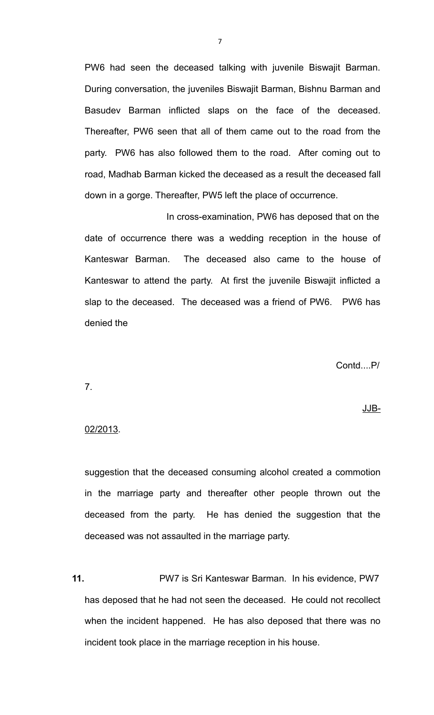PW6 had seen the deceased talking with juvenile Biswajit Barman. During conversation, the juveniles Biswajit Barman, Bishnu Barman and Basudev Barman inflicted slaps on the face of the deceased. Thereafter, PW6 seen that all of them came out to the road from the party. PW6 has also followed them to the road. After coming out to road, Madhab Barman kicked the deceased as a result the deceased fall down in a gorge. Thereafter, PW5 left the place of occurrence.

 In cross-examination, PW6 has deposed that on the date of occurrence there was a wedding reception in the house of Kanteswar Barman. The deceased also came to the house of Kanteswar to attend the party. At first the juvenile Biswajit inflicted a slap to the deceased. The deceased was a friend of PW6. PW6 has denied the

Contd....P/

7.

### in the state of the state of the state of the state of the state of the state of the state of the state of the

# 02/2013.

suggestion that the deceased consuming alcohol created a commotion in the marriage party and thereafter other people thrown out the deceased from the party. He has denied the suggestion that the deceased was not assaulted in the marriage party.

**11.** PW7 is Sri Kanteswar Barman. In his evidence, PW7 has deposed that he had not seen the deceased. He could not recollect when the incident happened. He has also deposed that there was no incident took place in the marriage reception in his house.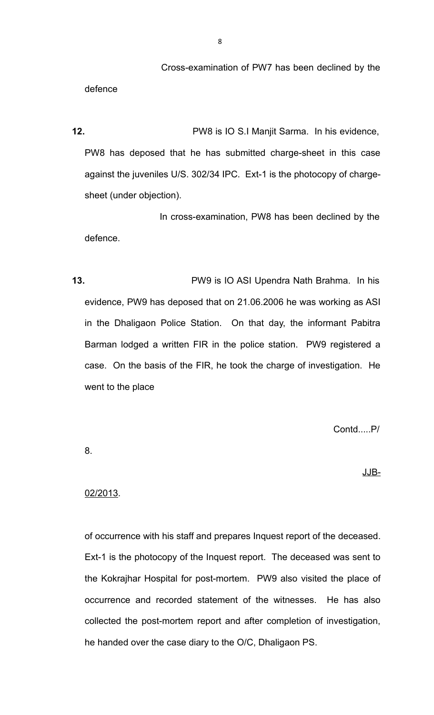Cross-examination of PW7 has been declined by the defence

**12.** PW8 is IO S.I Manjit Sarma. In his evidence, PW8 has deposed that he has submitted charge-sheet in this case against the juveniles U/S. 302/34 IPC. Ext-1 is the photocopy of chargesheet (under objection).

 In cross-examination, PW8 has been declined by the defence.

**13.** PW9 is IO ASI Upendra Nath Brahma. In his evidence, PW9 has deposed that on 21.06.2006 he was working as ASI in the Dhaligaon Police Station. On that day, the informant Pabitra Barman lodged a written FIR in the police station. PW9 registered a case. On the basis of the FIR, he took the charge of investigation. He went to the place

Contd.....P/

8.

in the state of the state of the state of the state of the state of the state of the state of the state of the

### 02/2013.

of occurrence with his staff and prepares Inquest report of the deceased. Ext-1 is the photocopy of the Inquest report. The deceased was sent to the Kokrajhar Hospital for post-mortem. PW9 also visited the place of occurrence and recorded statement of the witnesses. He has also collected the post-mortem report and after completion of investigation, he handed over the case diary to the O/C, Dhaligaon PS.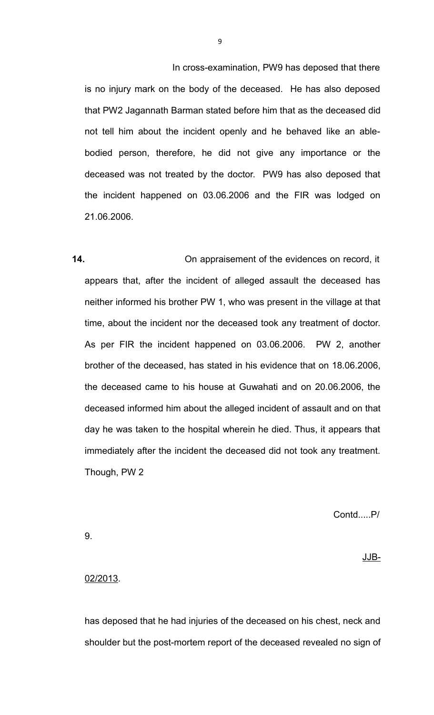In cross-examination, PW9 has deposed that there is no injury mark on the body of the deceased. He has also deposed that PW2 Jagannath Barman stated before him that as the deceased did not tell him about the incident openly and he behaved like an ablebodied person, therefore, he did not give any importance or the deceased was not treated by the doctor. PW9 has also deposed that the incident happened on 03.06.2006 and the FIR was lodged on 21.06.2006.

**14.** On appraisement of the evidences on record, it appears that, after the incident of alleged assault the deceased has neither informed his brother PW 1, who was present in the village at that time, about the incident nor the deceased took any treatment of doctor. As per FIR the incident happened on 03.06.2006. PW 2, another brother of the deceased, has stated in his evidence that on 18.06.2006, the deceased came to his house at Guwahati and on 20.06.2006, the deceased informed him about the alleged incident of assault and on that day he was taken to the hospital wherein he died. Thus, it appears that immediately after the incident the deceased did not took any treatment. Though, PW 2

Contd.....P/

9.

in the state of the state of the state of the state of the state of the state of the state of the state of the

### 02/2013.

has deposed that he had injuries of the deceased on his chest, neck and shoulder but the post-mortem report of the deceased revealed no sign of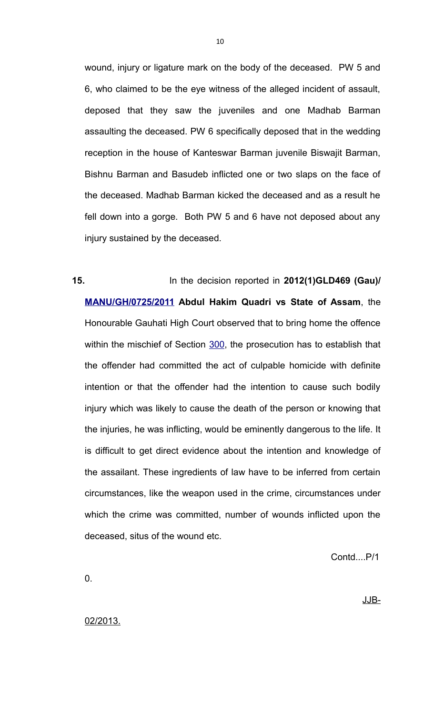wound, injury or ligature mark on the body of the deceased. PW 5 and 6, who claimed to be the eye witness of the alleged incident of assault, deposed that they saw the juveniles and one Madhab Barman assaulting the deceased. PW 6 specifically deposed that in the wedding reception in the house of Kanteswar Barman juvenile Biswajit Barman, Bishnu Barman and Basudeb inflicted one or two slaps on the face of the deceased. Madhab Barman kicked the deceased and as a result he fell down into a gorge. Both PW 5 and 6 have not deposed about any injury sustained by the deceased.

**15.** In the decision reported in **2012(1)GLD469 (Gau)/ [MANU/GH/0725/2011](javascript:fnCitation() Abdul Hakim Quadri vs State of Assam**, the Honourable Gauhati High Court observed that to bring home the offence within the mischief of Section [300,](javascript:fnOpenGlobalPopUp() the prosecution has to establish that the offender had committed the act of culpable homicide with definite intention or that the offender had the intention to cause such bodily injury which was likely to cause the death of the person or knowing that the injuries, he was inflicting, would be eminently dangerous to the life. It is difficult to get direct evidence about the intention and knowledge of the assailant. These ingredients of law have to be inferred from certain circumstances, like the weapon used in the crime, circumstances under which the crime was committed, number of wounds inflicted upon the deceased, situs of the wound etc.

Contd....P/1

0.

in the state of the state of the state of the state of the state of the state of the state of the state of the

02/2013.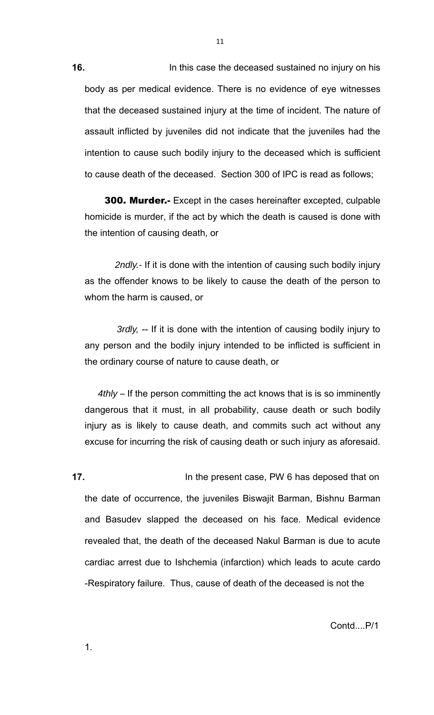**16.** In this case the deceased sustained no injury on his body as per medical evidence. There is no evidence of eye witnesses that the deceased sustained injury at the time of incident. The nature of assault inflicted by juveniles did not indicate that the juveniles had the intention to cause such bodily injury to the deceased which is sufficient to cause death of the deceased. Section 300 of IPC is read as follows;

 300. Murder.- Except in the cases hereinafter excepted, culpable homicide is murder, if the act by which the death is caused is done with the intention of causing death, or

 *2ndly.-* If it is done with the intention of causing such bodily injury as the offender knows to be likely to cause the death of the person to whom the harm is caused, or

 *3rdly,* -- If it is done with the intention of causing bodily injury to any person and the bodily injury intended to be inflicted is sufficient in the ordinary course of nature to cause death, or

 *4thly* – If the person committing the act knows that is is so imminently dangerous that it must, in all probability, cause death or such bodily injury as is likely to cause death, and commits such act without any excuse for incurring the risk of causing death or such injury as aforesaid.

**17.** In the present case, PW 6 has deposed that on the date of occurrence, the juveniles Biswajit Barman, Bishnu Barman and Basudev slapped the deceased on his face. Medical evidence revealed that, the death of the deceased Nakul Barman is due to acute cardiac arrest due to Ishchemia (infarction) which leads to acute cardo -Respiratory failure. Thus, cause of death of the deceased is not the

Contd....P/1

1.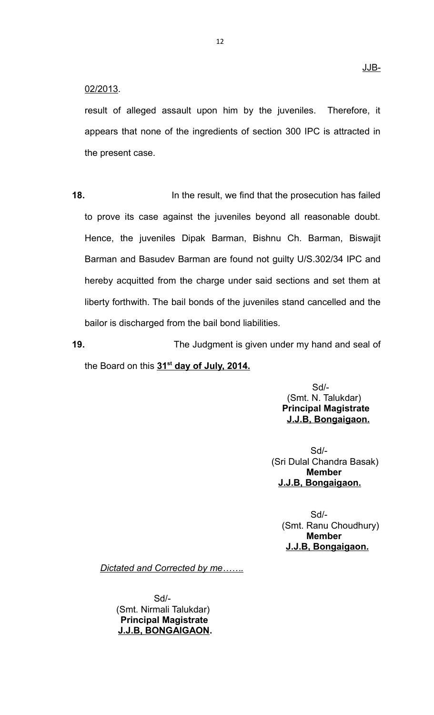# 02/2013.

result of alleged assault upon him by the juveniles. Therefore, it appears that none of the ingredients of section 300 IPC is attracted in the present case.

**18.** In the result, we find that the prosecution has failed to prove its case against the juveniles beyond all reasonable doubt. Hence, the juveniles Dipak Barman, Bishnu Ch. Barman, Biswajit Barman and Basudev Barman are found not guilty U/S.302/34 IPC and hereby acquitted from the charge under said sections and set them at liberty forthwith. The bail bonds of the juveniles stand cancelled and the bailor is discharged from the bail bond liabilities.

**19.** The Judgment is given under my hand and seal of the Board on this **31st day of July, 2014.**

> Sd/- (Smt. N. Talukdar)  **Principal Magistrate J.J.B, Bongaigaon.**

Sd/- (Sri Dulal Chandra Basak)  **Member J.J.B, Bongaigaon.** 

Sd/- (Smt. Ranu Choudhury)  **Member J.J.B, Bongaigaon.** 

*Dictated and Corrected by me…….*

 Sd/- (Smt. Nirmali Talukdar)  **Principal Magistrate J.J.B, BONGAIGAON.**